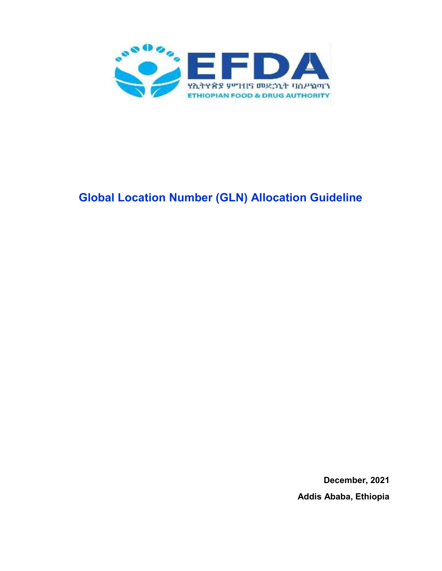

# **Global Location Number (GLN) Allocation Guideline**

**December, 2021 Addis Ababa, Ethiopia**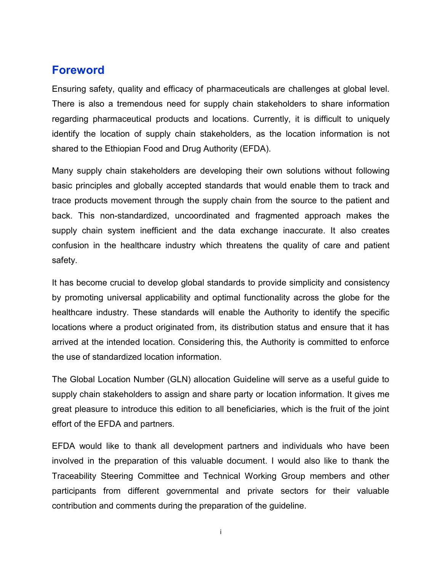#### **Foreword**

Ensuring safety, quality and efficacy of pharmaceuticals are challenges at global level. There is also a tremendous need for supply chain stakeholders to share information regarding pharmaceutical products and locations. Currently, it is difficult to uniquely identify the location of supply chain stakeholders, as the location information is not shared to the Ethiopian Food and Drug Authority (EFDA).

Many supply chain stakeholders are developing their own solutions without following basic principles and globally accepted standards that would enable them to track and trace products movement through the supply chain from the source to the patient and back. This non-standardized, uncoordinated and fragmented approach makes the supply chain system inefficient and the data exchange inaccurate. It also creates confusion in the healthcare industry which threatens the quality of care and patient safety.

It has become crucial to develop global standards to provide simplicity and consistency by promoting universal applicability and optimal functionality across the globe for the healthcare industry. These standards will enable the Authority to identify the specific locations where a product originated from, its distribution status and ensure that it has arrived at the intended location. Considering this, the Authority is committed to enforce the use of standardized location information.

The Global Location Number (GLN) allocation Guideline will serve as a useful guide to supply chain stakeholders to assign and share party or location information. It gives me great pleasure to introduce this edition to all beneficiaries, which is the fruit of the joint effort of the EFDA and partners.

EFDA would like to thank all development partners and individuals who have been involved in the preparation of this valuable document. I would also like to thank the Traceability Steering Committee and Technical Working Group members and other participants from different governmental and private sectors for their valuable contribution and comments during the preparation of the guideline.

i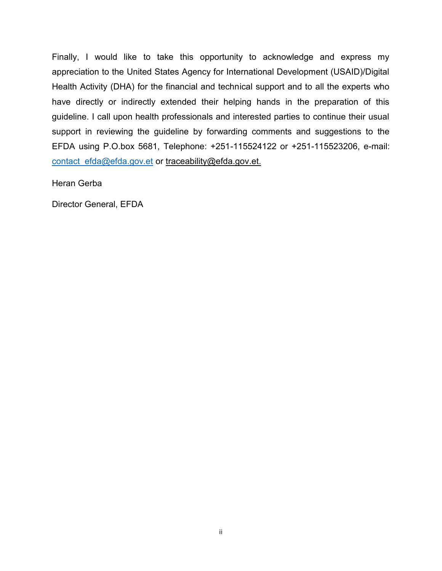Finally, I would like to take this opportunity to acknowledge and express my appreciation to the United States Agency for International Development (USAID)/Digital Health Activity (DHA) for the financial and technical support and to all the experts who have directly or indirectly extended their helping hands in the preparation of this guideline. I call upon health professionals and interested parties to continue their usual support in reviewing the guideline by forwarding comments and suggestions to the EFDA using P.O.box 5681, Telephone: +251-115524122 or +251-115523206, e-mail: contact efda@efda.gov.et or traceability@efda.gov.et.

Heran Gerba

Director General, EFDA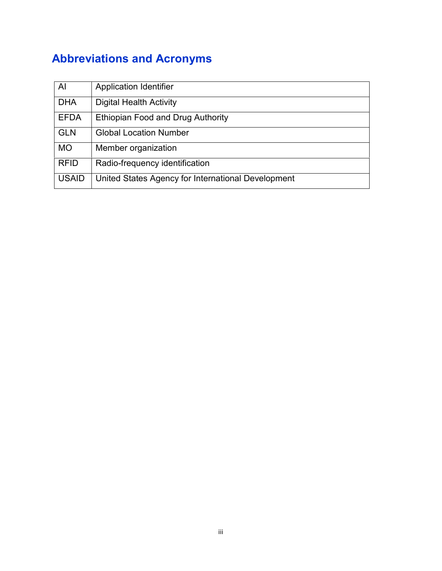# **Abbreviations and Acronyms**

| Al           | <b>Application Identifier</b>                      |
|--------------|----------------------------------------------------|
| <b>DHA</b>   | <b>Digital Health Activity</b>                     |
| <b>EFDA</b>  | Ethiopian Food and Drug Authority                  |
| <b>GLN</b>   | <b>Global Location Number</b>                      |
| <b>MO</b>    | Member organization                                |
| <b>RFID</b>  | Radio-frequency identification                     |
| <b>USAID</b> | United States Agency for International Development |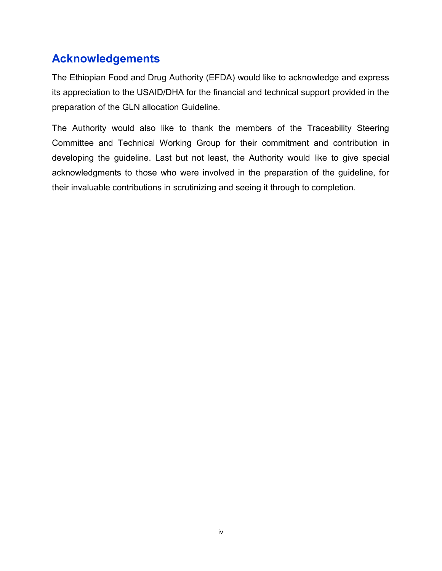# **Acknowledgements**

The Ethiopian Food and Drug Authority (EFDA) would like to acknowledge and express its appreciation to the USAID/DHA for the financial and technical support provided in the preparation of the GLN allocation Guideline.

The Authority would also like to thank the members of the Traceability Steering Committee and Technical Working Group for their commitment and contribution in developing the guideline. Last but not least, the Authority would like to give special acknowledgments to those who were involved in the preparation of the guideline, for their invaluable contributions in scrutinizing and seeing it through to completion.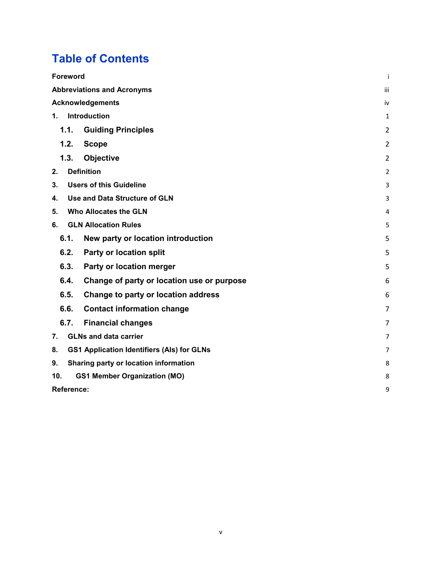# **Table of Contents**

| <b>Foreword</b><br>Ť                                    |                |  |  |  |  |
|---------------------------------------------------------|----------------|--|--|--|--|
| <b>Abbreviations and Acronyms</b><br>iii                |                |  |  |  |  |
| <b>Acknowledgements</b>                                 | iv             |  |  |  |  |
| Introduction<br>1.                                      | 1              |  |  |  |  |
| 1.1.<br><b>Guiding Principles</b>                       | 2              |  |  |  |  |
| 1.2.<br><b>Scope</b>                                    | 2              |  |  |  |  |
| 1.3.<br><b>Objective</b>                                | 2              |  |  |  |  |
| <b>Definition</b><br>2.                                 | 2              |  |  |  |  |
| <b>Users of this Guideline</b><br>3.                    | 3              |  |  |  |  |
| Use and Data Structure of GLN<br>4.                     | 3              |  |  |  |  |
| <b>Who Allocates the GLN</b><br>5.                      | 4              |  |  |  |  |
| <b>GLN Allocation Rules</b><br>6.                       | 5              |  |  |  |  |
| 6.1.<br>New party or location introduction              | 5              |  |  |  |  |
| 6.2.<br>Party or location split                         | 5              |  |  |  |  |
| 6.3.<br>Party or location merger                        | 5              |  |  |  |  |
| 6.4.<br>Change of party or location use or purpose      | 6              |  |  |  |  |
| 6.5.<br>Change to party or location address             | 6              |  |  |  |  |
| <b>Contact information change</b><br>6.6.               | $\overline{7}$ |  |  |  |  |
| 6.7.<br><b>Financial changes</b>                        | $\overline{7}$ |  |  |  |  |
| <b>GLNs and data carrier</b><br>7.                      | $\overline{7}$ |  |  |  |  |
| <b>GS1 Application Identifiers (Als) for GLNs</b><br>8. | 7              |  |  |  |  |
| <b>Sharing party or location information</b><br>9.      | 8              |  |  |  |  |
| <b>GS1 Member Organization (MO)</b><br>10.              | 8              |  |  |  |  |
| Reference:                                              | 9              |  |  |  |  |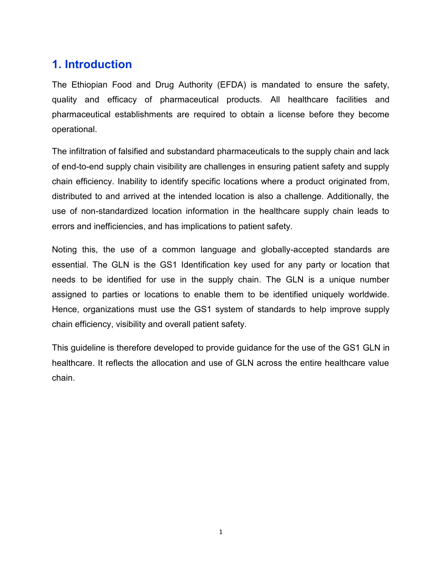### **1. Introduction**

The Ethiopian Food and Drug Authority (EFDA) is mandated to ensure the safety, quality and efficacy of pharmaceutical products. All healthcare facilities and pharmaceutical establishments are required to obtain a license before they become operational.

The infiltration of falsified and substandard pharmaceuticals to the supply chain and lack of end-to-end supply chain visibility are challenges in ensuring patient safety and supply chain efficiency. Inability to identify specific locations where a product originated from, distributed to and arrived at the intended location is also a challenge. Additionally, the use of non-standardized location information in the healthcare supply chain leads to errors and inefficiencies, and has implications to patient safety.

Noting this, the use of a common language and globally-accepted standards are essential. The GLN is the GS1 Identification key used for any party or location that needs to be identified for use in the supply chain. The GLN is a unique number assigned to parties or locations to enable them to be identified uniquely worldwide. Hence, organizations must use the GS1 system of standards to help improve supply chain efficiency, visibility and overall patient safety.

This guideline is therefore developed to provide guidance for the use of the GS1 GLN in healthcare. It reflects the allocation and use of GLN across the entire healthcare value chain.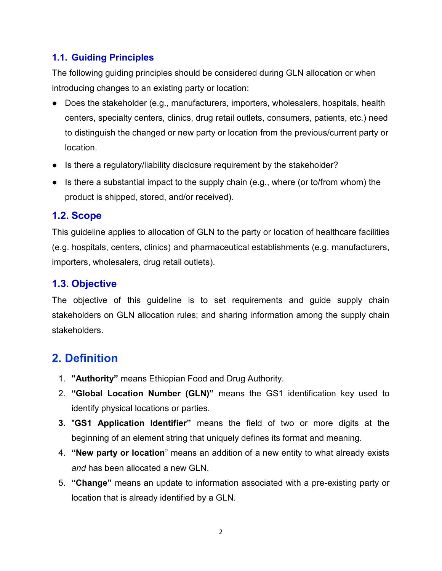#### **1.1. Guiding Principles**

The following guiding principles should be considered during GLN allocation or when introducing changes to an existing party or location:

- Does the stakeholder (e.g., manufacturers, importers, wholesalers, hospitals, health centers, specialty centers, clinics, drug retail outlets, consumers, patients, etc.) need to distinguish the changed or new party or location from the previous/current party or location.
- Is there a regulatory/liability disclosure requirement by the stakeholder?
- Is there a substantial impact to the supply chain (e.g., where (or to/from whom) the product is shipped, stored, and/or received).

#### **1.2. Scope**

This guideline applies to allocation of GLN to the party or location of healthcare facilities (e.g. hospitals, centers, clinics) and pharmaceutical establishments (e.g. manufacturers, importers, wholesalers, drug retail outlets).

#### **1.3. Objective**

The objective of this guideline is to set requirements and guide supply chain stakeholders on GLN allocation rules; and sharing information among the supply chain stakeholders.

### **2. Definition**

- 1. **"Authority"** means Ethiopian Food and Drug Authority.
- 2. **"Global Location Number (GLN)"** means the GS1 identification key used to identify physical locations or parties.
- **3.** "**GS1 Application Identifier"** means the field of two or more digits at the beginning of an element string that uniquely defines its format and meaning.
- 4. **"New party or location**" means an addition of a new entity to what already exists *and* has been allocated a new GLN.
- 5. **"Change"** means an update to information associated with a pre-existing party or location that is already identified by a GLN.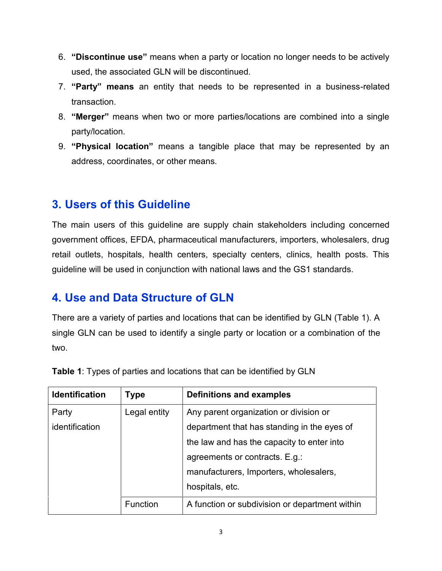- 6. **"Discontinue use"** means when a party or location no longer needs to be actively used, the associated GLN will be discontinued.
- 7. **"Party" means** an entity that needs to be represented in a business-related transaction.
- 8. **"Merger"** means when two or more parties/locations are combined into a single party/location.
- 9. **"Physical location"** means a tangible place that may be represented by an address, coordinates, or other means.

#### **3. Users of this Guideline**

The main users of this guideline are supply chain stakeholders including concerned government offices, EFDA, pharmaceutical manufacturers, importers, wholesalers, drug retail outlets, hospitals, health centers, specialty centers, clinics, health posts. This guideline will be used in conjunction with national laws and the GS1 standards.

### **4. Use and Data Structure of GLN**

There are a variety of parties and locations that can be identified by GLN (Table 1). A single GLN can be used to identify a single party or location or a combination of the two.

| <b>Identification</b> | Type            | <b>Definitions and examples</b>                |
|-----------------------|-----------------|------------------------------------------------|
| Party                 | Legal entity    | Any parent organization or division or         |
| identification        |                 | department that has standing in the eyes of    |
|                       |                 | the law and has the capacity to enter into     |
|                       |                 | agreements or contracts. E.g.:                 |
|                       |                 | manufacturers, Importers, wholesalers,         |
|                       |                 | hospitals, etc.                                |
|                       | <b>Function</b> | A function or subdivision or department within |

**Table 1**: Types of parties and locations that can be identified by GLN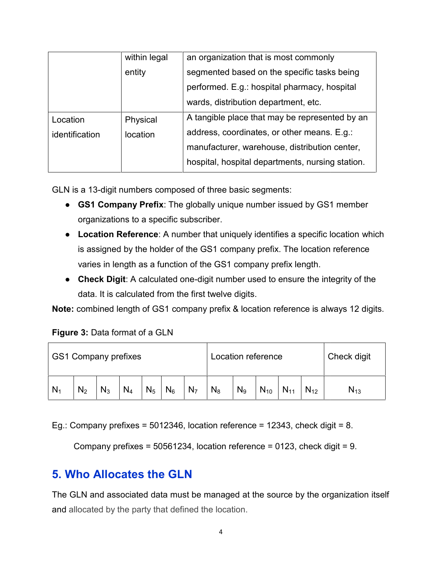|                | within legal | an organization that is most commonly            |
|----------------|--------------|--------------------------------------------------|
|                | entity       | segmented based on the specific tasks being      |
|                |              | performed. E.g.: hospital pharmacy, hospital     |
|                |              | wards, distribution department, etc.             |
| Location       | Physical     | A tangible place that may be represented by an   |
| identification | location     | address, coordinates, or other means. E.g.:      |
|                |              | manufacturer, warehouse, distribution center,    |
|                |              | hospital, hospital departments, nursing station. |

- **GS1 Company Prefix**: The globally unique number issued by GS1 member organizations to a specific subscriber.
- **Location Reference**: A number that uniquely identifies a specific location which **Location Reference**: A number that uniquely identifies a specific location which<br>is assigned by the holder of the GS1 company prefix. The location reference varies in length as a function of the GS1 company prefix length.
- **Check Digit**: A calculated one-digit number used to ensure the integrity of the data. It is calculated from the first twelve digits. **Check Digit**: A calculated one-digit number used to ensure the data. It is calculated from the first twelve digits.<br>
combined length of GS1 company prefix & location reference is<br> **e 3:** Data format of a GLN<br>
Company pref

**Note:** combined length of GS1 company prefix & location reference is always 12 digits.

#### **Figure 3:** Data format of a GLN

| <b>GS1 Company prefixes</b> |                |       |       |       | Location reference |                |       |                | Check digit |          |          |          |
|-----------------------------|----------------|-------|-------|-------|--------------------|----------------|-------|----------------|-------------|----------|----------|----------|
| N <sub>1</sub>              | N <sub>2</sub> | $N_3$ | $N_4$ | $N_5$ | $N_6$              | N <sub>7</sub> | $N_8$ | N <sub>9</sub> | $N_{10}$    | $N_{11}$ | $N_{12}$ | $N_{13}$ |

Eg.: Company prefixes = 5012346, location reference = 12343, check digit = 8.

`ompany prefixes = 5012346, location reference = 12343, check digit = 8.<br>Company prefixes = 50561234, location reference = 0123, check digit = 9.

# **5. Who Allocates the GLN Allocates the**

The GLN and associated data must be managed at the source by the organization itself and allocated by the party that defined the location.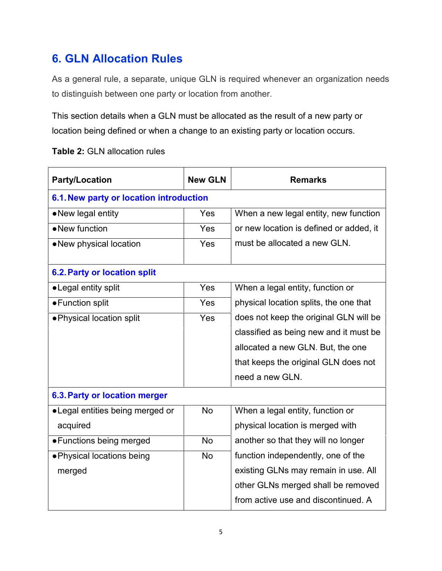# **6. GLN Allocation Rules**

As a general rule, a separate, unique GLN is required whenever an organization needs to distinguish between one party or location from another.

This section details when a GLN must be allocated as the result of a new party or location being defined or when a change to an existing party or location occurs.

| <b>Table 2: GLN allocation rules</b> |  |
|--------------------------------------|--|
|--------------------------------------|--|

| <b>Party/Location</b>                   | <b>New GLN</b> | <b>Remarks</b>                          |  |  |  |  |  |
|-----------------------------------------|----------------|-----------------------------------------|--|--|--|--|--|
| 6.1. New party or location introduction |                |                                         |  |  |  |  |  |
| • New legal entity                      | <b>Yes</b>     | When a new legal entity, new function   |  |  |  |  |  |
| • New function                          | <b>Yes</b>     | or new location is defined or added, it |  |  |  |  |  |
| • New physical location                 | <b>Yes</b>     | must be allocated a new GLN.            |  |  |  |  |  |
| <b>6.2. Party or location split</b>     |                |                                         |  |  |  |  |  |
| • Legal entity split                    | <b>Yes</b>     | When a legal entity, function or        |  |  |  |  |  |
| • Function split                        | Yes            | physical location splits, the one that  |  |  |  |  |  |
| • Physical location split               | Yes            | does not keep the original GLN will be  |  |  |  |  |  |
|                                         |                | classified as being new and it must be  |  |  |  |  |  |
|                                         |                | allocated a new GLN. But, the one       |  |  |  |  |  |
|                                         |                | that keeps the original GLN does not    |  |  |  |  |  |
|                                         |                | need a new GLN.                         |  |  |  |  |  |
| 6.3. Party or location merger           |                |                                         |  |  |  |  |  |
| • Legal entities being merged or        | <b>No</b>      | When a legal entity, function or        |  |  |  |  |  |
| acquired                                |                | physical location is merged with        |  |  |  |  |  |
| • Functions being merged                | <b>No</b>      | another so that they will no longer     |  |  |  |  |  |
| · Physical locations being              | <b>No</b>      | function independently, one of the      |  |  |  |  |  |
| merged                                  |                | existing GLNs may remain in use. All    |  |  |  |  |  |
|                                         |                | other GLNs merged shall be removed      |  |  |  |  |  |
|                                         |                | from active use and discontinued. A     |  |  |  |  |  |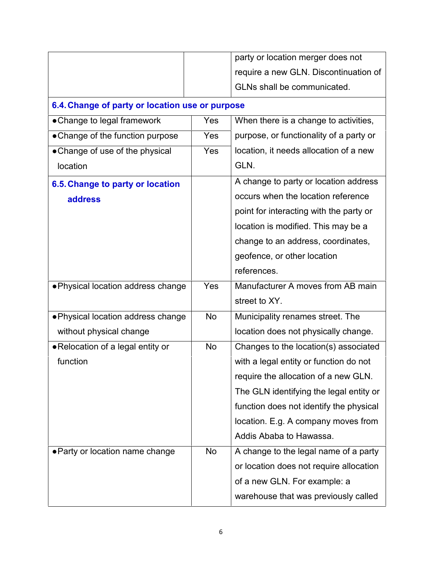|                                                 |            | party or location merger does not       |
|-------------------------------------------------|------------|-----------------------------------------|
|                                                 |            | require a new GLN. Discontinuation of   |
|                                                 |            | GLNs shall be communicated.             |
| 6.4. Change of party or location use or purpose |            |                                         |
| • Change to legal framework                     | Yes        | When there is a change to activities,   |
| • Change of the function purpose                | <b>Yes</b> | purpose, or functionality of a party or |
| • Change of use of the physical                 | <b>Yes</b> | location, it needs allocation of a new  |
| location                                        |            | GLN.                                    |
| 6.5. Change to party or location                |            | A change to party or location address   |
| address                                         |            | occurs when the location reference      |
|                                                 |            | point for interacting with the party or |
|                                                 |            | location is modified. This may be a     |
|                                                 |            | change to an address, coordinates,      |
|                                                 |            | geofence, or other location             |
|                                                 |            | references.                             |
| . Physical location address change              | <b>Yes</b> | Manufacturer A moves from AB main       |
|                                                 |            | street to XY.                           |
| . Physical location address change              | <b>No</b>  | Municipality renames street. The        |
| without physical change                         |            | location does not physically change.    |
| • Relocation of a legal entity or               | <b>No</b>  | Changes to the location(s) associated   |
| function                                        |            | with a legal entity or function do not  |
|                                                 |            | require the allocation of a new GLN.    |
|                                                 |            | The GLN identifying the legal entity or |
|                                                 |            | function does not identify the physical |
|                                                 |            | location. E.g. A company moves from     |
|                                                 |            | Addis Ababa to Hawassa.                 |
| • Party or location name change                 | No         | A change to the legal name of a party   |
|                                                 |            | or location does not require allocation |
|                                                 |            | of a new GLN. For example: a            |
|                                                 |            |                                         |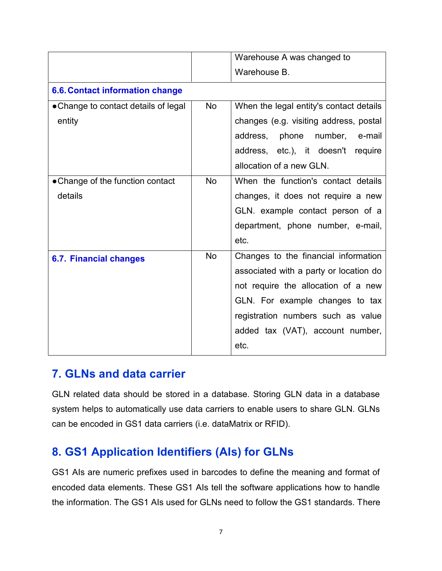|                                        |           | Warehouse A was changed to              |
|----------------------------------------|-----------|-----------------------------------------|
|                                        |           | Warehouse B.                            |
| <b>6.6. Contact information change</b> |           |                                         |
| • Change to contact details of legal   | <b>No</b> | When the legal entity's contact details |
| entity                                 |           | changes (e.g. visiting address, postal  |
|                                        |           | number,<br>address, phone<br>e-mail     |
|                                        |           | address, etc.), it doesn't require      |
|                                        |           | allocation of a new GLN.                |
| • Change of the function contact       | <b>No</b> | When the function's contact details     |
| details                                |           | changes, it does not require a new      |
|                                        |           | GLN. example contact person of a        |
|                                        |           | department, phone number, e-mail,       |
|                                        |           | etc.                                    |
| <b>6.7. Financial changes</b>          | <b>No</b> | Changes to the financial information    |
|                                        |           | associated with a party or location do  |
|                                        |           | not require the allocation of a new     |
|                                        |           | GLN. For example changes to tax         |
|                                        |           | registration numbers such as value      |
|                                        |           | added tax (VAT), account number,        |
|                                        |           | etc.                                    |

### **7. GLNs and data carrier**

GLN related data should be stored in a database. Storing GLN data in a database system helps to automatically use data carriers to enable users to share GLN. GLNs can be encoded in GS1 data carriers (i.e. dataMatrix or RFID).

### **8. GS1 Application Identifiers (AIs) for GLNs**

GS1 AIs are numeric prefixes used in barcodes to define the meaning and format of encoded data elements. These GS1 AIs tell the software applications how to handle the information. The GS1 AIs used for GLNs need to follow the GS1 standards. There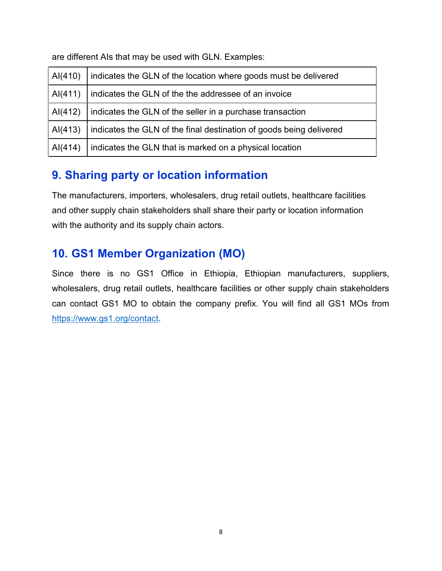are different AIs that may be used with GLN. Examples:

| AI(410) | indicates the GLN of the location where goods must be delivered     |
|---------|---------------------------------------------------------------------|
| AI(411) | indicates the GLN of the the addressee of an invoice                |
| AI(412) | indicates the GLN of the seller in a purchase transaction           |
| AI(413) | indicates the GLN of the final destination of goods being delivered |
| A(414)  | indicates the GLN that is marked on a physical location             |

# **9. Sharing party or location information**

The manufacturers, importers, wholesalers, drug retail outlets, healthcare facilities and other supply chain stakeholders shall share their party or location information with the authority and its supply chain actors.

### **10. GS1 Member Organization (MO)**

Since there is no GS1 Office in Ethiopia, Ethiopian manufacturers, suppliers, wholesalers, drug retail outlets, healthcare facilities or other supply chain stakeholders can contact GS1 MO to obtain the company prefix. You will find all GS1 MOs from https://www.gs1.org/contact.